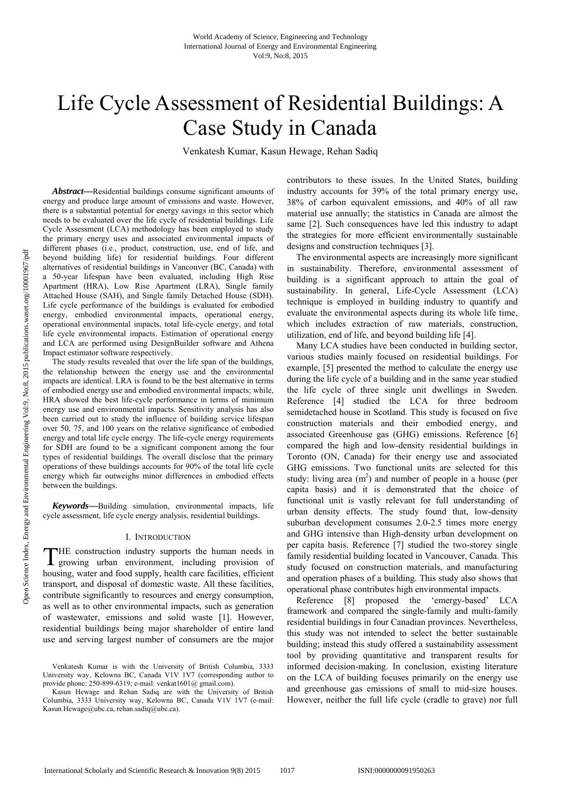# Life Cycle Assessment of Residential Buildings: A Case Study in Canada

Venkatesh Kumar, Kasun Hewage, Rehan Sadiq

*Abstract***—**Residential buildings consume significant amounts of energy and produce large amount of emissions and waste. However, there is a substantial potential for energy savings in this sector which needs to be evaluated over the life cycle of residential buildings. Life Cycle Assessment (LCA) methodology has been employed to study the primary energy uses and associated environmental impacts of different phases (i.e., product, construction, use, end of life, and beyond building life) for residential buildings. Four different alternatives of residential buildings in Vancouver (BC, Canada) with a 50-year lifespan have been evaluated, including High Rise Apartment (HRA), Low Rise Apartment (LRA), Single family Attached House (SAH), and Single family Detached House (SDH). Life cycle performance of the buildings is evaluated for embodied energy, embodied environmental impacts, operational energy, operational environmental impacts, total life-cycle energy, and total life cycle environmental impacts. Estimation of operational energy and LCA are performed using DesignBuilder software and Athena Impact estimator software respectively.

The study results revealed that over the life span of the buildings, the relationship between the energy use and the environmental impacts are identical. LRA is found to be the best alternative in terms of embodied energy use and embodied environmental impacts; while, HRA showed the best life-cycle performance in terms of minimum energy use and environmental impacts. Sensitivity analysis has also been carried out to study the influence of building service lifespan over 50, 75, and 100 years on the relative significance of embodied energy and total life cycle energy. The life-cycle energy requirements for SDH are found to be a significant component among the four types of residential buildings. The overall disclose that the primary operations of these buildings accounts for 90% of the total life cycle energy which far outweighs minor differences in embodied effects between the buildings.

*Keywords***—**Building simulation, environmental impacts, life cycle assessment, life cycle energy analysis, residential buildings.

#### I. INTRODUCTION

HE construction industry supports the human needs in THE construction industry supports the human needs in growing urban environment, including provision of housing, water and food supply, health care facilities, efficient transport, and disposal of domestic waste. All these facilities, contribute significantly to resources and energy consumption, as well as to other environmental impacts, such as generation of wastewater, emissions and solid waste [1]. However, residential buildings being major shareholder of entire land use and serving largest number of consumers are the major

contributors to these issues. In the United States, building industry accounts for 39% of the total primary energy use, 38% of carbon equivalent emissions, and 40% of all raw material use annually; the statistics in Canada are almost the same [2]. Such consequences have led this industry to adapt the strategies for more efficient environmentally sustainable designs and construction techniques [3].

The environmental aspects are increasingly more significant in sustainability. Therefore, environmental assessment of building is a significant approach to attain the goal of sustainability. In general, Life-Cycle Assessment (LCA) technique is employed in building industry to quantify and evaluate the environmental aspects during its whole life time, which includes extraction of raw materials, construction, utilization, end of life, and beyond building life [4].

Many LCA studies have been conducted in building sector, various studies mainly focused on residential buildings. For example, [5] presented the method to calculate the energy use during the life cycle of a building and in the same year studied the life cycle of three single unit dwellings in Sweden. Reference [4] studied the LCA for three bedroom semidetached house in Scotland. This study is focused on five construction materials and their embodied energy, and associated Greenhouse gas (GHG) emissions. Reference [6] compared the high and low-density residential buildings in Toronto (ON, Canada) for their energy use and associated GHG emissions. Two functional units are selected for this study: living area  $(m<sup>2</sup>)$  and number of people in a house (per capita basis) and it is demonstrated that the choice of functional unit is vastly relevant for full understanding of urban density effects. The study found that, low-density suburban development consumes 2.0-2.5 times more energy and GHG intensive than High-density urban development on per capita basis. Reference [7] studied the two-storey single family residential building located in Vancouver, Canada. This study focused on construction materials, and manufacturing and operation phases of a building. This study also shows that operational phase contributes high environmental impacts.

Reference [8] proposed the 'emergy-based' LCA framework and compared the single-family and multi-family residential buildings in four Canadian provinces. Nevertheless, this study was not intended to select the better sustainable building; instead this study offered a sustainability assessment tool by providing quantitative and transparent results for informed decision-making. In conclusion, existing literature on the LCA of building focuses primarily on the energy use and greenhouse gas emissions of small to mid-size houses. However, neither the full life cycle (cradle to grave) nor full

Venkatesh Kumar is with the University of British Columbia, 3333 University way, Kelowna BC, Canada V1V 1V7 (corresponding author to provide phone: 250-899-6319; e-mail: venkat1601@ gmail.com).

Kasun Hewage and Rehan Sadiq are with the University of British Columbia, 3333 University way, Kelowna BC, Canada V1V 1V7 (e-mail: Kasun.Hewage@ubc.ca, rehan.sadiq@ubc.ca).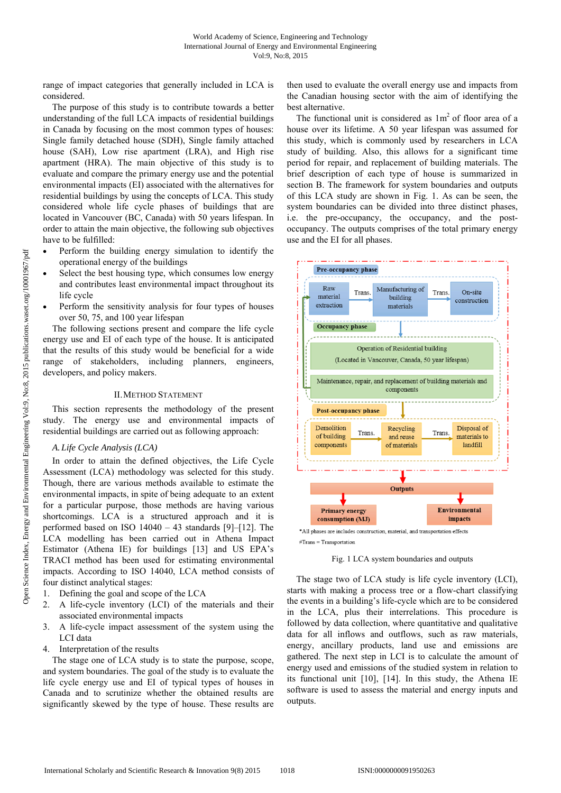range of impact categories that generally included in LCA is considered.

The purpose of this study is to contribute towards a better understanding of the full LCA impacts of residential buildings in Canada by focusing on the most common types of houses: Single family detached house (SDH), Single family attached house (SAH), Low rise apartment (LRA), and High rise apartment (HRA). The main objective of this study is to evaluate and compare the primary energy use and the potential environmental impacts (EI) associated with the alternatives for residential buildings by using the concepts of LCA. This study considered whole life cycle phases of buildings that are located in Vancouver (BC, Canada) with 50 years lifespan. In order to attain the main objective, the following sub objectives have to be fulfilled:

- Perform the building energy simulation to identify the operational energy of the buildings
- Select the best housing type, which consumes low energy and contributes least environmental impact throughout its life cycle
- Perform the sensitivity analysis for four types of houses over 50, 75, and 100 year lifespan

The following sections present and compare the life cycle energy use and EI of each type of the house. It is anticipated that the results of this study would be beneficial for a wide range of stakeholders, including planners, engineers, developers, and policy makers.

#### II.METHOD STATEMENT

This section represents the methodology of the present study. The energy use and environmental impacts of residential buildings are carried out as following approach:

## *A.Life Cycle Analysis (LCA)*

In order to attain the defined objectives, the Life Cycle Assessment (LCA) methodology was selected for this study. Though, there are various methods available to estimate the environmental impacts, in spite of being adequate to an extent for a particular purpose, those methods are having various shortcomings. LCA is a structured approach and it is performed based on ISO  $14040 - 43$  standards [9]–[12]. The LCA modelling has been carried out in Athena Impact Estimator (Athena IE) for buildings [13] and US EPA's TRACI method has been used for estimating environmental impacts. According to ISO 14040, LCA method consists of four distinct analytical stages:

- 1. Defining the goal and scope of the LCA
- 2. A life-cycle inventory (LCI) of the materials and their associated environmental impacts
- 3. A life-cycle impact assessment of the system using the LCI data
- 4. Interpretation of the results

The stage one of LCA study is to state the purpose, scope, and system boundaries. The goal of the study is to evaluate the life cycle energy use and EI of typical types of houses in Canada and to scrutinize whether the obtained results are significantly skewed by the type of house. These results are

then used to evaluate the overall energy use and impacts from the Canadian housing sector with the aim of identifying the best alternative.

The functional unit is considered as  $1m<sup>2</sup>$  of floor area of a house over its lifetime. A 50 year lifespan was assumed for this study, which is commonly used by researchers in LCA study of building. Also, this allows for a significant time period for repair, and replacement of building materials. The brief description of each type of house is summarized in section B. The framework for system boundaries and outputs of this LCA study are shown in Fig. 1. As can be seen, the system boundaries can be divided into three distinct phases, i.e. the pre-occupancy, the occupancy, and the postoccupancy. The outputs comprises of the total primary energy use and the EI for all phases.



Fig. 1 LCA system boundaries and outputs

The stage two of LCA study is life cycle inventory (LCI), starts with making a process tree or a flow-chart classifying the events in a building's life-cycle which are to be considered in the LCA, plus their interrelations. This procedure is followed by data collection, where quantitative and qualitative data for all inflows and outflows, such as raw materials, energy, ancillary products, land use and emissions are gathered. The next step in LCI is to calculate the amount of energy used and emissions of the studied system in relation to its functional unit [10], [14]. In this study, the Athena IE software is used to assess the material and energy inputs and outputs.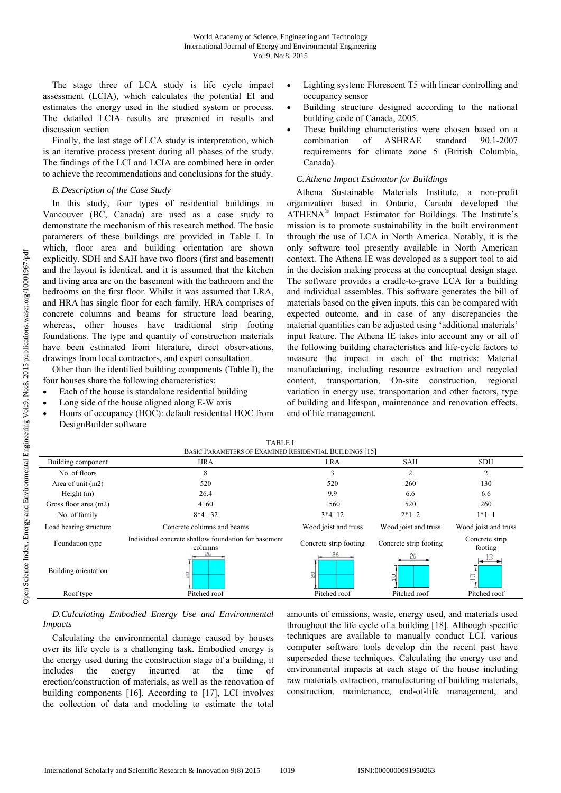The stage three of LCA study is life cycle impact assessment (LCIA), which calculates the potential EI and estimates the energy used in the studied system or process. The detailed LCIA results are presented in results and discussion section

Finally, the last stage of LCA study is interpretation, which is an iterative process present during all phases of the study. The findings of the LCI and LCIA are combined here in order to achieve the recommendations and conclusions for the study.

#### *B.Description of the Case Study*

In this study, four types of residential buildings in Vancouver (BC, Canada) are used as a case study to demonstrate the mechanism of this research method. The basic parameters of these buildings are provided in Table I. In which, floor area and building orientation are shown explicitly. SDH and SAH have two floors (first and basement) and the layout is identical, and it is assumed that the kitchen and living area are on the basement with the bathroom and the bedrooms on the first floor. Whilst it was assumed that LRA, and HRA has single floor for each family. HRA comprises of concrete columns and beams for structure load bearing, whereas, other houses have traditional strip footing foundations. The type and quantity of construction materials have been estimated from literature, direct observations, drawings from local contractors, and expert consultation.

Other than the identified building components (Table I), the four houses share the following characteristics:

- Each of the house is standalone residential building
- Long side of the house aligned along E-W axis
- Hours of occupancy (HOC): default residential HOC from DesignBuilder software
- Lighting system: Florescent T5 with linear controlling and occupancy sensor
- Building structure designed according to the national building code of Canada, 2005.
- These building characteristics were chosen based on a combination of ASHRAE standard 90.1-2007 requirements for climate zone 5 (British Columbia, Canada).

#### *C.Athena Impact Estimator for Buildings*

Athena Sustainable Materials Institute, a non-profit organization based in Ontario, Canada developed the ATHENA® Impact Estimator for Buildings. The Institute's mission is to promote sustainability in the built environment through the use of LCA in North America. Notably, it is the only software tool presently available in North American context. The Athena IE was developed as a support tool to aid in the decision making process at the conceptual design stage. The software provides a cradle-to-grave LCA for a building and individual assembles. This software generates the bill of materials based on the given inputs, this can be compared with expected outcome, and in case of any discrepancies the material quantities can be adjusted using 'additional materials' input feature. The Athena IE takes into account any or all of the following building characteristics and life-cycle factors to measure the impact in each of the metrics: Material manufacturing, including resource extraction and recycled content, transportation, On-site construction, regional variation in energy use, transportation and other factors, type of building and lifespan, maintenance and renovation effects, end of life management.

| TADLE I<br>BASIC PARAMETERS OF EXAMINED RESIDENTIAL BUILDINGS [15] |                                                                |                        |                        |                           |  |  |  |  |
|--------------------------------------------------------------------|----------------------------------------------------------------|------------------------|------------------------|---------------------------|--|--|--|--|
| Building component                                                 | <b>HRA</b>                                                     | <b>LRA</b>             | <b>SAH</b>             | <b>SDH</b>                |  |  |  |  |
| No. of floors                                                      | 8                                                              | 3                      | $\overline{2}$         | 2                         |  |  |  |  |
| Area of unit (m2)                                                  | 520                                                            | 520                    | 260                    | 130                       |  |  |  |  |
| Height $(m)$                                                       | 26.4                                                           | 9.9                    | 6.6                    | 6.6                       |  |  |  |  |
| Gross floor area (m2)                                              | 4160                                                           | 1560                   | 520                    | 260                       |  |  |  |  |
| No. of family                                                      | $8*4=32$                                                       | $3*4=12$               | $2*1=2$                | $1*1=1$                   |  |  |  |  |
| Load bearing structure                                             | Concrete columns and beams                                     | Wood joist and truss   | Wood joist and truss   | Wood joist and truss      |  |  |  |  |
| Foundation type                                                    | Individual concrete shallow foundation for basement<br>columns | Concrete strip footing | Concrete strip footing | Concrete strip<br>footing |  |  |  |  |
| Building orientation                                               | 읪                                                              | 26<br>읇                |                        |                           |  |  |  |  |
| Roof type                                                          | Pitched roof                                                   | Pitched roof           | Pitched roof           | Pitched roof              |  |  |  |  |
|                                                                    |                                                                |                        |                        |                           |  |  |  |  |

## TABLE I

## *D.Calculating Embodied Energy Use and Environmental Impacts*

Calculating the environmental damage caused by houses over its life cycle is a challenging task. Embodied energy is the energy used during the construction stage of a building, it includes the energy incurred at the time of erection/construction of materials, as well as the renovation of building components [16]. According to [17], LCI involves the collection of data and modeling to estimate the total

amounts of emissions, waste, energy used, and materials used throughout the life cycle of a building [18]. Although specific techniques are available to manually conduct LCI, various computer software tools develop din the recent past have superseded these techniques. Calculating the energy use and environmental impacts at each stage of the house including raw materials extraction, manufacturing of building materials, construction, maintenance, end-of-life management, and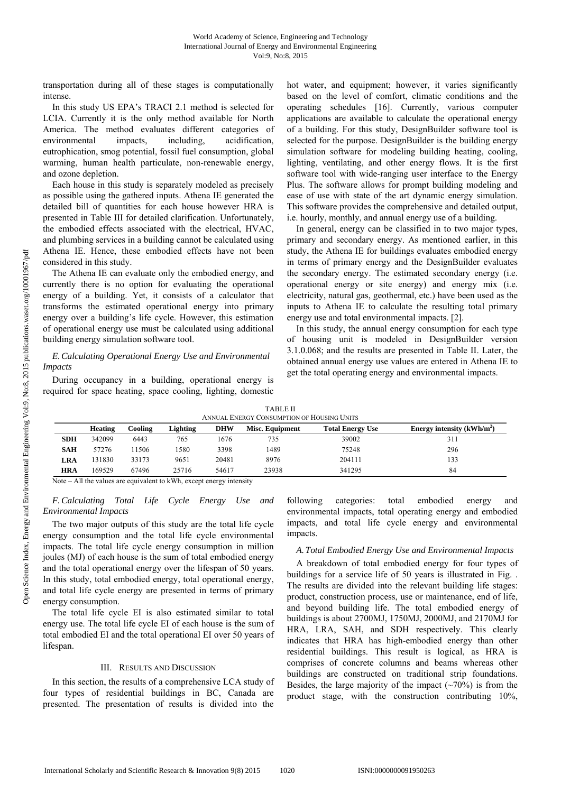transportation during all of these stages is computationally intense.

In this study US EPA's TRACI 2.1 method is selected for LCIA. Currently it is the only method available for North America. The method evaluates different categories of environmental impacts, including, acidification, eutrophication, smog potential, fossil fuel consumption, global warming, human health particulate, non-renewable energy, and ozone depletion.

Each house in this study is separately modeled as precisely as possible using the gathered inputs. Athena IE generated the detailed bill of quantities for each house however HRA is presented in Table III for detailed clarification. Unfortunately, the embodied effects associated with the electrical, HVAC, and plumbing services in a building cannot be calculated using Athena IE. Hence, these embodied effects have not been considered in this study.

The Athena IE can evaluate only the embodied energy, and currently there is no option for evaluating the operational energy of a building. Yet, it consists of a calculator that transforms the estimated operational energy into primary energy over a building's life cycle. However, this estimation of operational energy use must be calculated using additional building energy simulation software tool.

### *E.Calculating Operational Energy Use and Environmental Impacts*

During occupancy in a building, operational energy is required for space heating, space cooling, lighting, domestic hot water, and equipment; however, it varies significantly based on the level of comfort, climatic conditions and the operating schedules [16]. Currently, various computer applications are available to calculate the operational energy of a building. For this study, DesignBuilder software tool is selected for the purpose. DesignBuilder is the building energy simulation software for modeling building heating, cooling, lighting, ventilating, and other energy flows. It is the first software tool with wide-ranging user interface to the Energy Plus. The software allows for prompt building modeling and ease of use with state of the art dynamic energy simulation. This software provides the comprehensive and detailed output, i.e. hourly, monthly, and annual energy use of a building.

In general, energy can be classified in to two major types, primary and secondary energy. As mentioned earlier, in this study, the Athena IE for buildings evaluates embodied energy in terms of primary energy and the DesignBuilder evaluates the secondary energy. The estimated secondary energy (i.e. operational energy or site energy) and energy mix (i.e. electricity, natural gas, geothermal, etc.) have been used as the inputs to Athena IE to calculate the resulting total primary energy use and total environmental impacts. [2].

In this study, the annual energy consumption for each type of housing unit is modeled in DesignBuilder version 3.1.0.068; and the results are presented in Table II. Later, the obtained annual energy use values are entered in Athena IE to get the total operating energy and environmental impacts.

| <b>TABLE II</b>                            |
|--------------------------------------------|
| ANNUAL ENERGY CONSUMPTION OF HOUSING UNITS |

|            | Heating | Cooling | Lighting | <b>DHW</b> | Misc. Equipment | Energy intensity $(kWh/m^2)$<br><b>Total Energy Use</b> |     |
|------------|---------|---------|----------|------------|-----------------|---------------------------------------------------------|-----|
| <b>SDH</b> | 342099  | 6443    | 765      | 1676       | 735             | 39002                                                   | 311 |
| <b>SAH</b> | 57276   | 1506    | 1580     | 3398       | 1489            | 75248                                                   | 296 |
| LRA        | 31830   | 33173   | 9651     | 20481      | 8976            | 204111                                                  | 133 |
| <b>HRA</b> | 169529  | 67496   | 25716    | 54617      | 23938           | 341295                                                  | 84  |

Note – All the values are equivalent to kWh, except energy intensity

*F.Calculating Total Life Cycle Energy Use and Environmental Impacts* 

The two major outputs of this study are the total life cycle energy consumption and the total life cycle environmental impacts. The total life cycle energy consumption in million joules (MJ) of each house is the sum of total embodied energy and the total operational energy over the lifespan of 50 years. In this study, total embodied energy, total operational energy, and total life cycle energy are presented in terms of primary energy consumption.

The total life cycle EI is also estimated similar to total energy use. The total life cycle EI of each house is the sum of total embodied EI and the total operational EI over 50 years of lifespan.

#### III. RESULTS AND DISCUSSION

In this section, the results of a comprehensive LCA study of four types of residential buildings in BC, Canada are presented. The presentation of results is divided into the

following categories: total embodied energy and environmental impacts, total operating energy and embodied impacts, and total life cycle energy and environmental impacts.

## *A.Total Embodied Energy Use and Environmental Impacts*

A breakdown of total embodied energy for four types of buildings for a service life of 50 years is illustrated in Fig. . The results are divided into the relevant building life stages: product, construction process, use or maintenance, end of life, and beyond building life. The total embodied energy of buildings is about 2700MJ, 1750MJ, 2000MJ, and 2170MJ for HRA, LRA, SAH, and SDH respectively. This clearly indicates that HRA has high-embodied energy than other residential buildings. This result is logical, as HRA is comprises of concrete columns and beams whereas other buildings are constructed on traditional strip foundations. Besides, the large majority of the impact  $(\sim 70\%)$  is from the product stage, with the construction contributing 10%,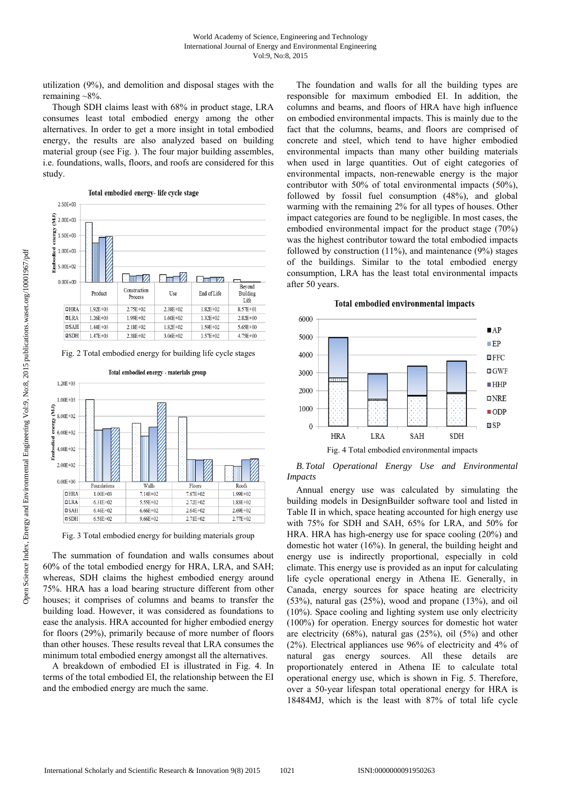utilization (9%), and demolition and disposal stages with the remaining  $~8\%$ .

Though SDH claims least with 68% in product stage, LRA consumes least total embodied energy among the other alternatives. In order to get a more insight in total embodied energy, the results are also analyzed based on building material group (see Fig. ). The four major building assembles, i.e. foundations, walls, floors, and roofs are considered for this study.



Fig. 2 Total embodied energy for building life cycle stages



Fig. 3 Total embodied energy for building materials group

The summation of foundation and walls consumes about 60% of the total embodied energy for HRA, LRA, and SAH; whereas, SDH claims the highest embodied energy around 75%. HRA has a load bearing structure different from other houses; it comprises of columns and beams to transfer the building load. However, it was considered as foundations to ease the analysis. HRA accounted for higher embodied energy for floors (29%), primarily because of more number of floors than other houses. These results reveal that LRA consumes the minimum total embodied energy amongst all the alternatives.

A breakdown of embodied EI is illustrated in Fig. 4. In terms of the total embodied EI, the relationship between the EI and the embodied energy are much the same.

The foundation and walls for all the building types are responsible for maximum embodied EI. In addition, the columns and beams, and floors of HRA have high influence on embodied environmental impacts. This is mainly due to the fact that the columns, beams, and floors are comprised of concrete and steel, which tend to have higher embodied environmental impacts than many other building materials when used in large quantities. Out of eight categories of environmental impacts, non-renewable energy is the major contributor with 50% of total environmental impacts (50%), followed by fossil fuel consumption (48%), and global warming with the remaining 2% for all types of houses. Other impact categories are found to be negligible. In most cases, the embodied environmental impact for the product stage (70%) was the highest contributor toward the total embodied impacts followed by construction (11%), and maintenance (9%) stages of the buildings. Similar to the total embodied energy consumption, LRA has the least total environmental impacts after 50 years.



#### Total embodied environmental impacts

*B.Total Operational Energy Use and Environmental Impacts* 

Annual energy use was calculated by simulating the building models in DesignBuilder software tool and listed in Table II in which, space heating accounted for high energy use with 75% for SDH and SAH, 65% for LRA, and 50% for HRA. HRA has high-energy use for space cooling (20%) and domestic hot water (16%). In general, the building height and energy use is indirectly proportional, especially in cold climate. This energy use is provided as an input for calculating life cycle operational energy in Athena IE. Generally, in Canada, energy sources for space heating are electricity (53%), natural gas (25%), wood and propane (13%), and oil (10%). Space cooling and lighting system use only electricity (100%) for operation. Energy sources for domestic hot water are electricity (68%), natural gas (25%), oil (5%) and other (2%). Electrical appliances use 96% of electricity and 4% of natural gas energy sources. All these details are proportionately entered in Athena IE to calculate total operational energy use, which is shown in Fig. 5. Therefore, over a 50-year lifespan total operational energy for HRA is 18484MJ, which is the least with 87% of total life cycle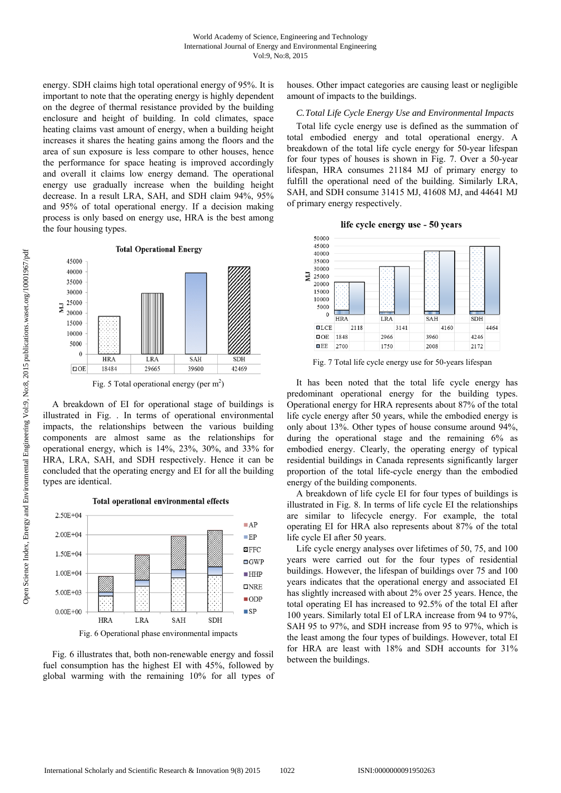energy. SDH claims high total operational energy of 95%. It is important to note that the operating energy is highly dependent on the degree of thermal resistance provided by the building enclosure and height of building. In cold climates, space heating claims vast amount of energy, when a building height increases it shares the heating gains among the floors and the area of sun exposure is less compare to other houses, hence the performance for space heating is improved accordingly and overall it claims low energy demand. The operational energy use gradually increase when the building height decrease. In a result LRA, SAH, and SDH claim 94%, 95% and 95% of total operational energy. If a decision making process is only based on energy use, HRA is the best among the four housing types.

**Total Operational Energy** 45000 40000 35000 30000 25000 ΣM 20000 15000 10000 5000  $\mathbf{0}$  $H R \Delta$ **SAH** LR/ **SDH** 18484  $DOE$ 29665 39600 42469 Fig. 5 Total operational energy (per  $m<sup>2</sup>$ )

A breakdown of EI for operational stage of buildings is illustrated in Fig. . In terms of operational environmental impacts, the relationships between the various building components are almost same as the relationships for operational energy, which is 14%, 23%, 30%, and 33% for HRA, LRA, SAH, and SDH respectively. Hence it can be concluded that the operating energy and EI for all the building types are identical.

2.50E+04  $A$ P  $2.00E + 04$  $E$ P  $\blacksquare$  FFC  $1.50E + 04$  $\Box$  GWP  $1.00E + 04$  $\blacksquare$ HHP  $DNE$ 5.00E+03  $\blacksquare$  ODP  $0.00E + 00$  $\blacksquare$ **SDH HRA** LRA **SAH** Fig. 6 Operational phase environmental impacts

Total operational environmental effects



houses. Other impact categories are causing least or negligible amount of impacts to the buildings.

#### *C.Total Life Cycle Energy Use and Environmental Impacts*

Total life cycle energy use is defined as the summation of total embodied energy and total operational energy. A breakdown of the total life cycle energy for 50-year lifespan for four types of houses is shown in Fig. 7. Over a 50-year lifespan, HRA consumes 21184 MJ of primary energy to fulfill the operational need of the building. Similarly LRA, SAH, and SDH consume 31415 MJ, 41608 MJ, and 44641 MJ of primary energy respectively.





Fig. 7 Total life cycle energy use for 50-years lifespan

It has been noted that the total life cycle energy has predominant operational energy for the building types. Operational energy for HRA represents about 87% of the total life cycle energy after 50 years, while the embodied energy is only about 13%. Other types of house consume around 94%, during the operational stage and the remaining 6% as embodied energy. Clearly, the operating energy of typical residential buildings in Canada represents significantly larger proportion of the total life-cycle energy than the embodied energy of the building components.

A breakdown of life cycle EI for four types of buildings is illustrated in Fig. 8. In terms of life cycle EI the relationships are similar to lifecycle energy. For example, the total operating EI for HRA also represents about 87% of the total life cycle EI after 50 years.

Life cycle energy analyses over lifetimes of 50, 75, and 100 years were carried out for the four types of residential buildings. However, the lifespan of buildings over 75 and 100 years indicates that the operational energy and associated EI has slightly increased with about 2% over 25 years. Hence, the total operating EI has increased to 92.5% of the total EI after 100 years. Similarly total EI of LRA increase from 94 to 97%, SAH 95 to 97%, and SDH increase from 95 to 97%, which is the least among the four types of buildings. However, total EI for HRA are least with 18% and SDH accounts for 31% between the buildings.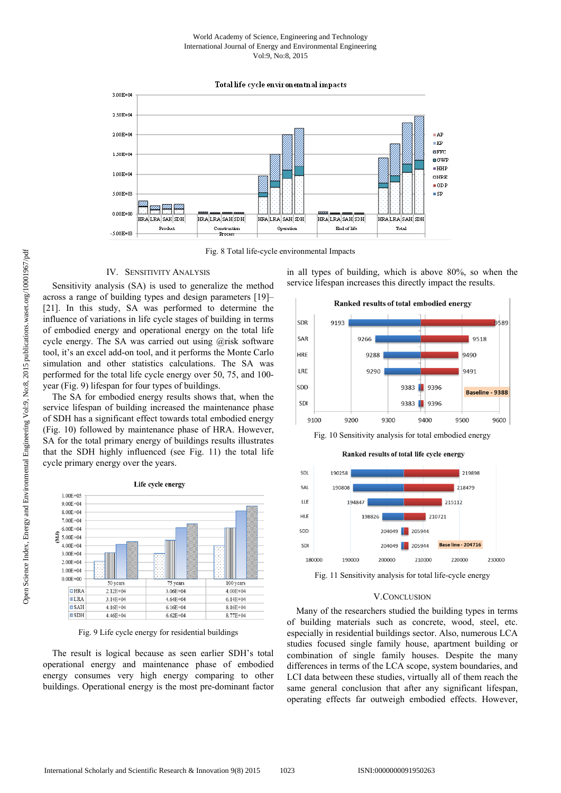#### World Academy of Science, Engineering and Technology International Journal of Energy and Environmental Engineering Vol:9, No:8, 2015

Total life cycle environemtnal impacts



Fig. 8 Total life-cycle environmental Impacts

#### IV. SENSITIVITY ANALYSIS

Sensitivity analysis (SA) is used to generalize the method across a range of building types and design parameters [19]– [21]. In this study, SA was performed to determine the influence of variations in life cycle stages of building in terms of embodied energy and operational energy on the total life cycle energy. The SA was carried out using @risk software tool, it's an excel add-on tool, and it performs the Monte Carlo simulation and other statistics calculations. The SA was performed for the total life cycle energy over 50, 75, and 100 year (Fig. 9) lifespan for four types of buildings.

The SA for embodied energy results shows that, when the service lifespan of building increased the maintenance phase of SDH has a significant effect towards total embodied energy (Fig. 10) followed by maintenance phase of HRA. However, SA for the total primary energy of buildings results illustrates that the SDH highly influenced (see Fig. 11) the total life cycle primary energy over the years.



Fig. 9 Life cycle energy for residential buildings

The result is logical because as seen earlier SDH's total operational energy and maintenance phase of embodied energy consumes very high energy comparing to other buildings. Operational energy is the most pre-dominant factor in all types of building, which is above 80%, so when the service lifespan increases this directly impact the results.



Fig. 10 Sensitivity analysis for total embodied energy



Fig. 11 Sensitivity analysis for total life-cycle energy

#### V.CONCLUSION

Many of the researchers studied the building types in terms of building materials such as concrete, wood, steel, etc. especially in residential buildings sector. Also, numerous LCA studies focused single family house, apartment building or combination of single family houses. Despite the many differences in terms of the LCA scope, system boundaries, and LCI data between these studies, virtually all of them reach the same general conclusion that after any significant lifespan, operating effects far outweigh embodied effects. However,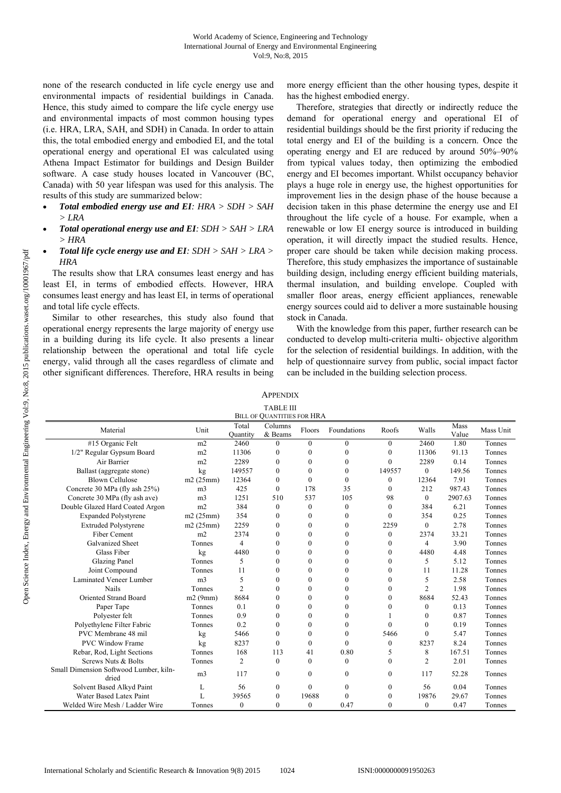none of the research conducted in life cycle energy use and environmental impacts of residential buildings in Canada. Hence, this study aimed to compare the life cycle energy use and environmental impacts of most common housing types (i.e. HRA, LRA, SAH, and SDH) in Canada. In order to attain this, the total embodied energy and embodied EI, and the total operational energy and operational EI was calculated using Athena Impact Estimator for buildings and Design Builder software. A case study houses located in Vancouver (BC, Canada) with 50 year lifespan was used for this analysis. The results of this study are summarized below:

- *Total embodied energy use and EI: HRA > SDH > SAH > LRA*
- *Total operational energy use and EI: SDH > SAH > LRA > HRA*
- *Total life cycle energy use and EI: SDH > SAH > LRA > HRA*

The results show that LRA consumes least energy and has least EI, in terms of embodied effects. However, HRA consumes least energy and has least EI, in terms of operational and total life cycle effects.

Similar to other researches, this study also found that operational energy represents the large majority of energy use in a building during its life cycle. It also presents a linear relationship between the operational and total life cycle energy, valid through all the cases regardless of climate and other significant differences. Therefore, HRA results in being more energy efficient than the other housing types, despite it has the highest embodied energy.

Therefore, strategies that directly or indirectly reduce the demand for operational energy and operational EI of residential buildings should be the first priority if reducing the total energy and EI of the building is a concern. Once the operating energy and EI are reduced by around 50%–90% from typical values today, then optimizing the embodied energy and EI becomes important. Whilst occupancy behavior plays a huge role in energy use, the highest opportunities for improvement lies in the design phase of the house because a decision taken in this phase determine the energy use and EI throughout the life cycle of a house. For example, when a renewable or low EI energy source is introduced in building operation, it will directly impact the studied results. Hence, proper care should be taken while decision making process. Therefore, this study emphasizes the importance of sustainable building design, including energy efficient building materials, thermal insulation, and building envelope. Coupled with smaller floor areas, energy efficient appliances, renewable energy sources could aid to deliver a more sustainable housing stock in Canada.

With the knowledge from this paper, further research can be conducted to develop multi-criteria multi- objective algorithm for the selection of residential buildings. In addition, with the help of questionnaire survey from public, social impact factor can be included in the building selection process.

**APPENDIX** TABLE III

| <b>BILL OF QUANTITIES FOR HRA</b>               |                |                   |                    |              |              |                  |                |               |           |
|-------------------------------------------------|----------------|-------------------|--------------------|--------------|--------------|------------------|----------------|---------------|-----------|
| Material                                        | Unit           | Total<br>Quantity | Columns<br>& Beams | Floors       | Foundations  | Roofs            | Walls          | Mass<br>Value | Mass Unit |
| #15 Organic Felt                                | m2             | 2460              | $\theta$           | $\theta$     | $\mathbf{0}$ | $\theta$         | 2460           | 1.80          | Tonnes    |
| 1/2" Regular Gypsum Board                       | m2             | 11306             | $\boldsymbol{0}$   | $\theta$     | $\mathbf{0}$ | $\theta$         | 11306          | 91.13         | Tonnes    |
| Air Barrier                                     | m2             | 2289              | $\mathbf{0}$       | $\Omega$     | $\theta$     | $\theta$         | 2289           | 0.14          | Tonnes    |
| Ballast (aggregate stone)                       | kg             | 149557            | $\mathbf{0}$       | $\theta$     | $\theta$     | 149557           | $\mathbf{0}$   | 149.56        | Tonnes    |
| <b>Blown Cellulose</b>                          | m2(25mm)       | 12364             | $\mathbf{0}$       | $\theta$     | $\theta$     | $\mathbf{0}$     | 12364          | 7.91          | Tonnes    |
| Concrete 30 MPa (fly ash 25%)                   | m <sub>3</sub> | 425               | $\theta$           | 178          | 35           | $\Omega$         | 212            | 987.43        | Tonnes    |
| Concrete 30 MPa (fly ash ave)                   | m <sub>3</sub> | 1251              | 510                | 537          | 105          | 98               | $\Omega$       | 2907.63       | Tonnes    |
| Double Glazed Hard Coated Argon                 | m2             | 384               | $\mathbf{0}$       | $\mathbf{0}$ | $\mathbf{0}$ | $\Omega$         | 384            | 6.21          | Tonnes    |
| <b>Expanded Polystyrene</b>                     | m2(25mm)       | 354               | $\mathbf{0}$       | $\mathbf{0}$ | $\mathbf{0}$ | $\boldsymbol{0}$ | 354            | 0.25          | Tonnes    |
| <b>Extruded Polystyrene</b>                     | m2(25mm)       | 2259              | $\mathbf{0}$       | $\theta$     | $\theta$     | 2259             | $\mathbf{0}$   | 2.78          | Tonnes    |
| Fiber Cement                                    | m2             | 2374              | $\boldsymbol{0}$   | $\theta$     | $\theta$     | $\theta$         | 2374           | 33.21         | Tonnes    |
| <b>Galvanized Sheet</b>                         | Tonnes         | 4                 | $\mathbf{0}$       | $\theta$     | $\theta$     | $\theta$         | $\overline{4}$ | 3.90          | Tonnes    |
| Glass Fiber                                     | kg             | 4480              | $\theta$           | $\Omega$     | $\Omega$     | 0                | 4480           | 4.48          | Tonnes    |
| <b>Glazing Panel</b>                            | Tonnes         | 5                 | $\theta$           | $\theta$     | $\theta$     | 0                | 5              | 5.12          | Tonnes    |
| Joint Compound                                  | Tonnes         | 11                | $\Omega$           | $\theta$     | $\theta$     | $\theta$         | 11             | 11.28         | Tonnes    |
| Laminated Veneer Lumber                         | m <sub>3</sub> | 5                 | $\theta$           | $\theta$     | $\theta$     | $\theta$         | 5              | 2.58          | Tonnes    |
| Nails                                           | Tonnes         | $\overline{2}$    | $\theta$           | $\Omega$     | $\Omega$     | $\Omega$         | $\overline{c}$ | 1.98          | Tonnes    |
| <b>Oriented Strand Board</b>                    | m2(9mm)        | 8684              | $\theta$           | $\theta$     | $\theta$     | $\theta$         | 8684           | 52.43         | Tonnes    |
| Paper Tape                                      | Tonnes         | 0.1               | $\mathbf{0}$       | $\theta$     | $\theta$     | 0                | $\theta$       | 0.13          | Tonnes    |
| Polyester felt                                  | Tonnes         | 0.9               | $\theta$           | $\Omega$     | $\Omega$     |                  | $\theta$       | 0.87          | Tonnes    |
| Polyethylene Filter Fabric                      | Tonnes         | 0.2               | $\theta$           | $\theta$     | $\theta$     | 0                | $\theta$       | 0.19          | Tonnes    |
| PVC Membrane 48 mil                             | kg             | 5466              | $\mathbf{0}$       | $\mathbf{0}$ | $\mathbf{0}$ | 5466             | $\mathbf{0}$   | 5.47          | Tonnes    |
| <b>PVC Window Frame</b>                         | kg             | 8237              | $\mathbf{0}$       | $\theta$     | $\theta$     | 0                | 8237           | 8.24          | Tonnes    |
| Rebar, Rod, Light Sections                      | Tonnes         | 168               | 113                | 41           | 0.80         | 5                | 8              | 167.51        | Tonnes    |
| Screws Nuts & Bolts                             | Tonnes         | $\overline{2}$    | $\mathbf{0}$       | $\theta$     | $\Omega$     | $\theta$         | $\overline{2}$ | 2.01          | Tonnes    |
| Small Dimension Softwood Lumber, kiln-<br>dried | m <sub>3</sub> | 117               | $\mathbf{0}$       | $\theta$     | $\theta$     | $\theta$         | 117            | 52.28         | Tonnes    |
| Solvent Based Alkyd Paint                       | L              | 56                | $\mathbf{0}$       | $\theta$     | $\theta$     | $\Omega$         | 56             | 0.04          | Tonnes    |
| Water Based Latex Paint                         | L              | 39565             | $\mathbf{0}$       | 19688        | $\theta$     | 0                | 19876          | 29.67         | Tonnes    |
| Welded Wire Mesh / Ladder Wire                  | Tonnes         | $\mathbf{0}$      | $\mathbf{0}$       | $\theta$     | 0.47         | $\theta$         | $\mathbf{0}$   | 0.47          | Tonnes    |